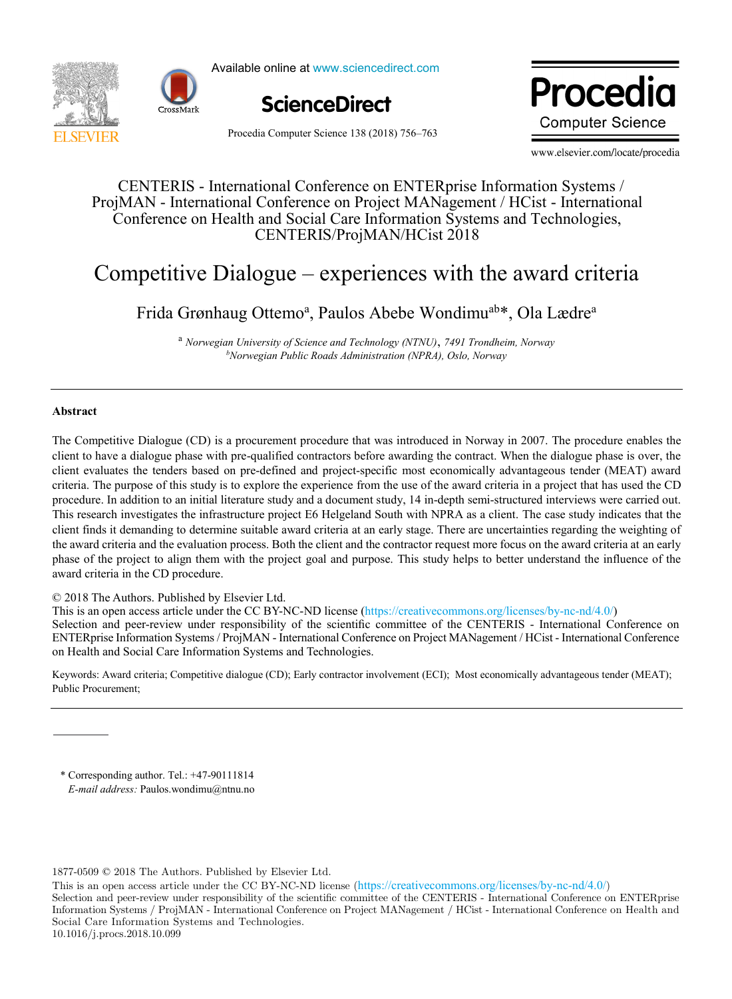



Available online at www.sciencedirect.com



Procedia Computer Science 138 (2018) 756–763

ww.elsevier.com Procedia

www.elsevier.com/locate/procedia

## ProjMAN - International Conference on Project MANagement / HCist - International Conference on Health and Social Care Information Systems and Technologies, CENTERIS/ProjMAN/HCist 2018  $\mathcal{C}$ CENTERIS - International Conference on ENTERprise Information Systems /

# Competitive Dialogue – experiences with the award criteria Competitive Dialogue – experiences with the award criteria

Frida Grønhaug Ottemoa , Paulos Abebe Wondimuab\*, Ola Lædrea Frida Grønhaug Ottemo<sup>a</sup>, Paulos Abebe Wondimu<sup>ab\*</sup>, Ola Lædre<sup>a</sup>

<sup>a</sup> *Norwegian University of Science and Technology (NTNU)*, *7491 Trondheim, Norway b Norwegian Public Roads Administration (NPRA), Oslo, Norway* <sup>a</sup> *Norwegian University of Science and Technology (NTNU)*, *7491 Trondheim, Norway*

## **Abstract**

client to have a dialogue phase with pre-qualified contractors before awarding the contract. When the dialogue phase is over, the client evaluates the tenders based on pre-defined and project-specific most economically advantageous tender (MEAT) award criteria. The purpose of this study is to explore the experience from the use of the award criteria in a project that has used the CD procedure. In addition to an initial literature study and a document study, 14 in-depth semi-structured interviews were carried out. This research investigates the infrastructure project E6 Helgeland South with NPRA as a client. The case study indicates that the client finds it demanding to determine suitable award criteria at an early stage. There are uncertainties regarding the weighting of the award criteria and the evaluation process. Both the client and the contractor request more focus on the award criteria at an early phase of the project to align them with the project goal and purpose. This study helps to better understand the influence of the award criteria in the CD procedure. This study helps to be the influence of the influence of the influence of the influence of the influence of the influence of the influence of the influence of the influence of the influe The Competitive Dialogue (CD) is a procurement procedure that was introduced in Norway in 2007. The procedure enables the

© 2018 The Authors. Published by Elsevier Ltd. award criteria in the CD procedure. © 2018 The Authors. Published by Elsevier Ltd.  $\odot$  2010 The Authors. Published by Elsevier Ltd.

© 2018 The Authors, Published by Eisevier Ltd.<br>This is an open access article under the CC BY-NC-ND license (https://creativecommons.org/licenses/by-nc-nd/4.0/)

This is an open access article under the CC BY-NC-ND ficense (https://creativecommons.org/hcenses/by-nc-nq/4.0/)<br>Selection and peer-review under responsibility of the scientific committee of the CENTERIS - International Co ENTERprise Information Systems / ProjMAN - International Conference on Project MANagement / HCist - International Conference ENTERPRISE INFORMATION SYSTEMS / ProjEt ANTERNATIONAL CONFERENCE ON PROJECT MANAGEMENT INSERT INTERNATIONAL CONFERENCE ON PRODUCTS Conference on Health and Social Care Information Systems and Technologies. on Health and Social Care Information Systems and Technologies.  $K_{\rm eff}$  criteria; Early contractor involvement (ECI); Most economically advantageous tender (MEAT); Most economically advantageous tender (MEAT); Most economically advantageous tender (MEAT); Most experiment (MEAT); Most

Keywords: Award criteria; Competitive dialogue (CD); Early contractor involvement (ECI); Most economically advantageous tender (MEAT); Public Procurement;

\* Corresponding author. Tel.: +47-90111814 *E-mail address:* Paulos.wondimu@ntnu.no*E-mail address:* Paulos.wondimu@ntnu.no

1877-0509 © 2018 The Authors. Published by Elsevier Ltd.

This is an open access article under the CC BY-NC-ND license (<https://creativecommons.org/licenses/by-nc-nd/4.0/>)

Selection and peer-review under responsibility of the scientific committee of the CENTERIS - International Conference on ENTERprise Information Systems / ProjMAN - International Conference on Project MANagement / HCist - International Conference on Health and Social Care Information Systems and Technologies.

10.1016/j.procs.2018.10.099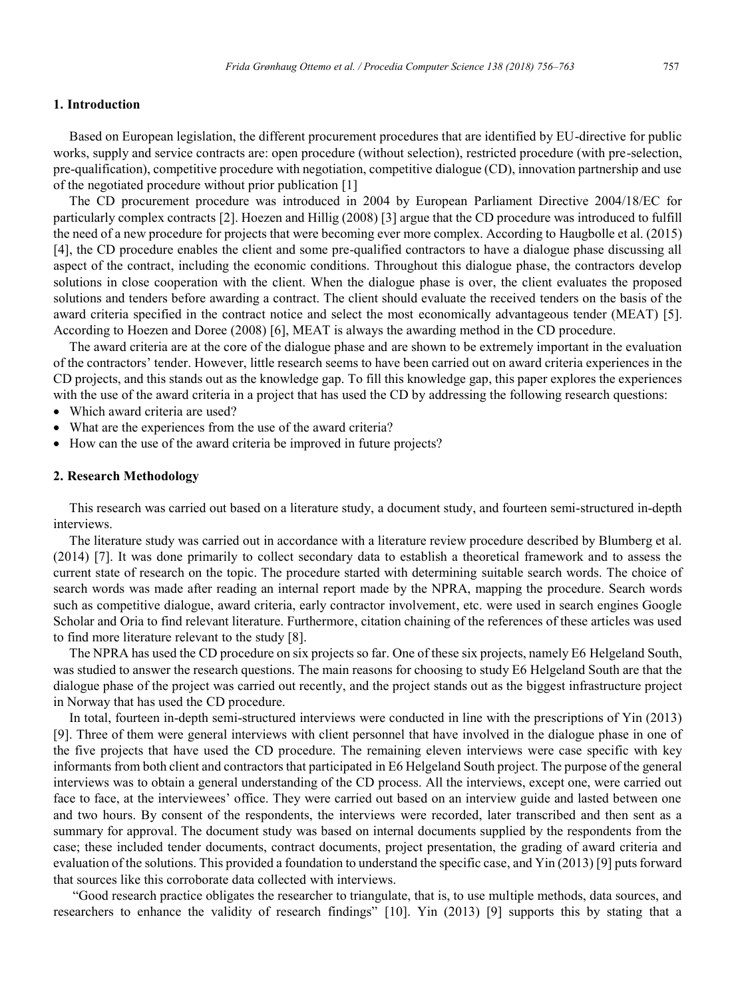## **1. Introduction**

Based on European legislation, the different procurement procedures that are identified by EU-directive for public works, supply and service contracts are: open procedure (without selection), restricted procedure (with pre-selection, pre-qualification), competitive procedure with negotiation, competitive dialogue (CD), innovation partnership and use of the negotiated procedure without prior publication [1]

The CD procurement procedure was introduced in 2004 by European Parliament Directive 2004/18/EC for particularly complex contracts [2]. Hoezen and Hillig (2008) [3] argue that the CD procedure was introduced to fulfill the need of a new procedure for projects that were becoming ever more complex. According to Haugbolle et al. (2015) [4], the CD procedure enables the client and some pre-qualified contractors to have a dialogue phase discussing all aspect of the contract, including the economic conditions. Throughout this dialogue phase, the contractors develop solutions in close cooperation with the client. When the dialogue phase is over, the client evaluates the proposed solutions and tenders before awarding a contract. The client should evaluate the received tenders on the basis of the award criteria specified in the contract notice and select the most economically advantageous tender (MEAT) [5]. According to Hoezen and Doree (2008) [6], MEAT is always the awarding method in the CD procedure.

The award criteria are at the core of the dialogue phase and are shown to be extremely important in the evaluation of the contractors' tender. However, little research seems to have been carried out on award criteria experiences in the CD projects, and this stands out as the knowledge gap. To fill this knowledge gap, this paper explores the experiences with the use of the award criteria in a project that has used the CD by addressing the following research questions:

- Which award criteria are used?
- What are the experiences from the use of the award criteria?
- How can the use of the award criteria be improved in future projects?

## **2. Research Methodology**

This research was carried out based on a literature study, a document study, and fourteen semi-structured in-depth interviews.

The literature study was carried out in accordance with a literature review procedure described by Blumberg et al. (2014) [7]. It was done primarily to collect secondary data to establish a theoretical framework and to assess the current state of research on the topic. The procedure started with determining suitable search words. The choice of search words was made after reading an internal report made by the NPRA, mapping the procedure. Search words such as competitive dialogue, award criteria, early contractor involvement, etc. were used in search engines Google Scholar and Oria to find relevant literature. Furthermore, citation chaining of the references of these articles was used to find more literature relevant to the study [8].

The NPRA has used the CD procedure on six projects so far. One of these six projects, namely E6 Helgeland South, was studied to answer the research questions. The main reasons for choosing to study E6 Helgeland South are that the dialogue phase of the project was carried out recently, and the project stands out as the biggest infrastructure project in Norway that has used the CD procedure.

In total, fourteen in-depth semi-structured interviews were conducted in line with the prescriptions of Yin (2013) [9]. Three of them were general interviews with client personnel that have involved in the dialogue phase in one of the five projects that have used the CD procedure. The remaining eleven interviews were case specific with key informants from both client and contractors that participated in E6 Helgeland South project. The purpose of the general interviews was to obtain a general understanding of the CD process. All the interviews, except one, were carried out face to face, at the interviewees' office. They were carried out based on an interview guide and lasted between one and two hours. By consent of the respondents, the interviews were recorded, later transcribed and then sent as a summary for approval. The document study was based on internal documents supplied by the respondents from the case; these included tender documents, contract documents, project presentation, the grading of award criteria and evaluation of the solutions. This provided a foundation to understand the specific case, and Yin (2013) [9] puts forward that sources like this corroborate data collected with interviews.

"Good research practice obligates the researcher to triangulate, that is, to use multiple methods, data sources, and researchers to enhance the validity of research findings" [10]. Yin (2013) [9] supports this by stating that a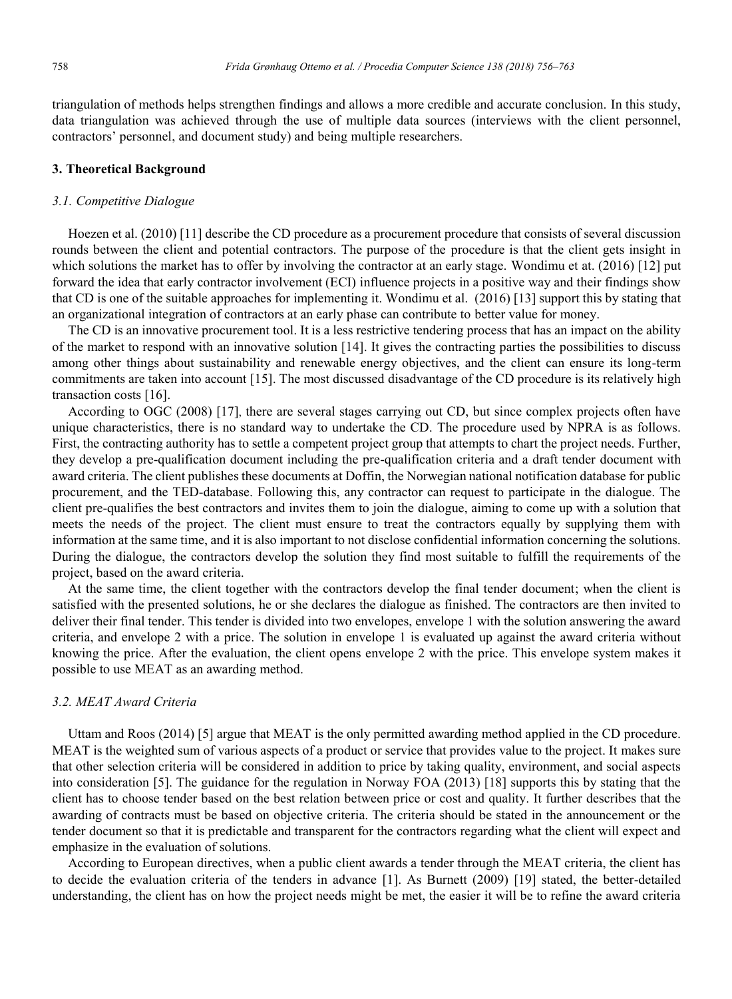triangulation of methods helps strengthen findings and allows a more credible and accurate conclusion. In this study, data triangulation was achieved through the use of multiple data sources (interviews with the client personnel, contractors' personnel, and document study) and being multiple researchers.

## **3. Theoretical Background**

#### *3.1. Competitive Dialogue*

Hoezen et al. (2010) [11] describe the CD procedure as a procurement procedure that consists of several discussion rounds between the client and potential contractors. The purpose of the procedure is that the client gets insight in which solutions the market has to offer by involving the contractor at an early stage. Wondimu et at. (2016) [12] put forward the idea that early contractor involvement (ECI) influence projects in a positive way and their findings show that CD is one of the suitable approaches for implementing it. Wondimu et al. (2016) [13] support this by stating that an organizational integration of contractors at an early phase can contribute to better value for money.

The CD is an innovative procurement tool. It is a less restrictive tendering process that has an impact on the ability of the market to respond with an innovative solution [14]. It gives the contracting parties the possibilities to discuss among other things about sustainability and renewable energy objectives, and the client can ensure its long-term commitments are taken into account [15]. The most discussed disadvantage of the CD procedure is its relatively high transaction costs [16].

According to OGC (2008) [17], there are several stages carrying out CD, but since complex projects often have unique characteristics, there is no standard way to undertake the CD. The procedure used by NPRA is as follows. First, the contracting authority has to settle a competent project group that attempts to chart the project needs. Further, they develop a pre-qualification document including the pre-qualification criteria and a draft tender document with award criteria. The client publishes these documents at Doffin, the Norwegian national notification database for public procurement, and the TED-database. Following this, any contractor can request to participate in the dialogue. The client pre-qualifies the best contractors and invites them to join the dialogue, aiming to come up with a solution that meets the needs of the project. The client must ensure to treat the contractors equally by supplying them with information at the same time, and it is also important to not disclose confidential information concerning the solutions. During the dialogue, the contractors develop the solution they find most suitable to fulfill the requirements of the project, based on the award criteria.

At the same time, the client together with the contractors develop the final tender document; when the client is satisfied with the presented solutions, he or she declares the dialogue as finished. The contractors are then invited to deliver their final tender. This tender is divided into two envelopes, envelope 1 with the solution answering the award criteria, and envelope 2 with a price. The solution in envelope 1 is evaluated up against the award criteria without knowing the price. After the evaluation, the client opens envelope 2 with the price. This envelope system makes it possible to use MEAT as an awarding method.

#### *3.2. MEAT Award Criteria*

Uttam and Roos (2014) [5] argue that MEAT is the only permitted awarding method applied in the CD procedure. MEAT is the weighted sum of various aspects of a product or service that provides value to the project. It makes sure that other selection criteria will be considered in addition to price by taking quality, environment, and social aspects into consideration [5]. The guidance for the regulation in Norway FOA (2013) [18] supports this by stating that the client has to choose tender based on the best relation between price or cost and quality. It further describes that the awarding of contracts must be based on objective criteria. The criteria should be stated in the announcement or the tender document so that it is predictable and transparent for the contractors regarding what the client will expect and emphasize in the evaluation of solutions.

According to European directives, when a public client awards a tender through the MEAT criteria, the client has to decide the evaluation criteria of the tenders in advance [1]. As Burnett (2009) [19] stated, the better-detailed understanding, the client has on how the project needs might be met, the easier it will be to refine the award criteria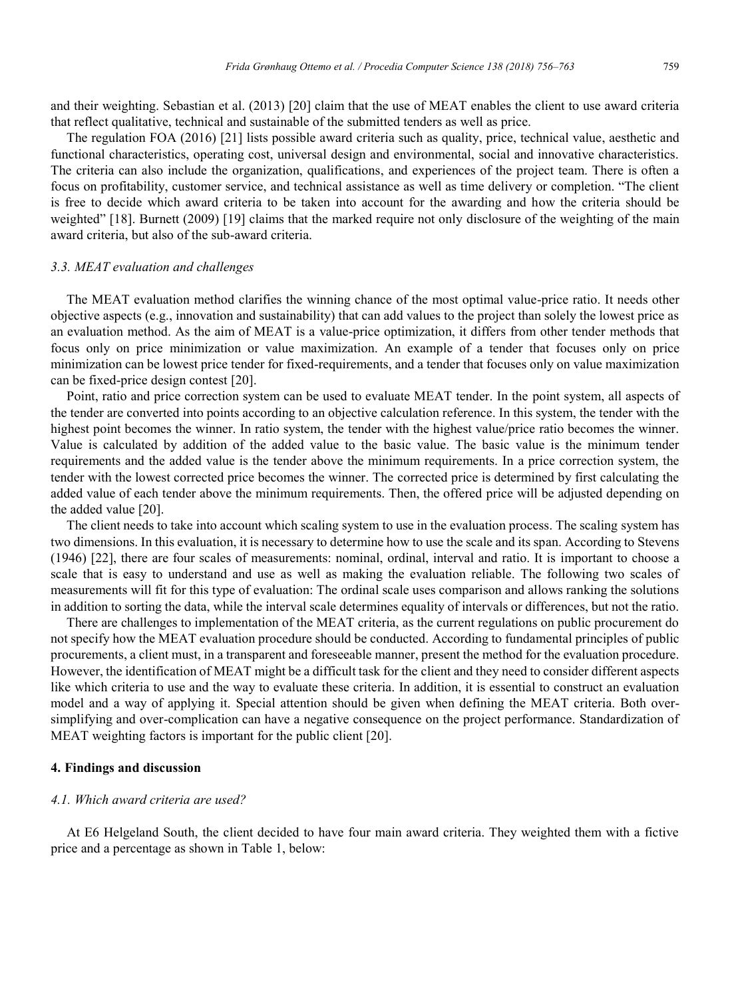and their weighting. Sebastian et al. (2013) [20] claim that the use of MEAT enables the client to use award criteria that reflect qualitative, technical and sustainable of the submitted tenders as well as price.

The regulation FOA (2016) [21] lists possible award criteria such as quality, price, technical value, aesthetic and functional characteristics, operating cost, universal design and environmental, social and innovative characteristics. The criteria can also include the organization, qualifications, and experiences of the project team. There is often a focus on profitability, customer service, and technical assistance as well as time delivery or completion. "The client is free to decide which award criteria to be taken into account for the awarding and how the criteria should be weighted" [18]. Burnett (2009) [19] claims that the marked require not only disclosure of the weighting of the main award criteria, but also of the sub-award criteria.

#### *3.3. MEAT evaluation and challenges*

The MEAT evaluation method clarifies the winning chance of the most optimal value-price ratio. It needs other objective aspects (e.g., innovation and sustainability) that can add values to the project than solely the lowest price as an evaluation method. As the aim of MEAT is a value-price optimization, it differs from other tender methods that focus only on price minimization or value maximization. An example of a tender that focuses only on price minimization can be lowest price tender for fixed-requirements, and a tender that focuses only on value maximization can be fixed-price design contest [20].

Point, ratio and price correction system can be used to evaluate MEAT tender. In the point system, all aspects of the tender are converted into points according to an objective calculation reference. In this system, the tender with the highest point becomes the winner. In ratio system, the tender with the highest value/price ratio becomes the winner. Value is calculated by addition of the added value to the basic value. The basic value is the minimum tender requirements and the added value is the tender above the minimum requirements. In a price correction system, the tender with the lowest corrected price becomes the winner. The corrected price is determined by first calculating the added value of each tender above the minimum requirements. Then, the offered price will be adjusted depending on the added value [20].

The client needs to take into account which scaling system to use in the evaluation process. The scaling system has two dimensions. In this evaluation, it is necessary to determine how to use the scale and its span. According to Stevens (1946) [22], there are four scales of measurements: nominal, ordinal, interval and ratio. It is important to choose a scale that is easy to understand and use as well as making the evaluation reliable. The following two scales of measurements will fit for this type of evaluation: The ordinal scale uses comparison and allows ranking the solutions in addition to sorting the data, while the interval scale determines equality of intervals or differences, but not the ratio.

There are challenges to implementation of the MEAT criteria, as the current regulations on public procurement do not specify how the MEAT evaluation procedure should be conducted. According to fundamental principles of public procurements, a client must, in a transparent and foreseeable manner, present the method for the evaluation procedure. However, the identification of MEAT might be a difficult task for the client and they need to consider different aspects like which criteria to use and the way to evaluate these criteria. In addition, it is essential to construct an evaluation model and a way of applying it. Special attention should be given when defining the MEAT criteria. Both oversimplifying and over-complication can have a negative consequence on the project performance. Standardization of MEAT weighting factors is important for the public client [20].

#### **4. Findings and discussion**

## *4.1. Which award criteria are used?*

At E6 Helgeland South, the client decided to have four main award criteria. They weighted them with a fictive price and a percentage as shown in Table 1, below: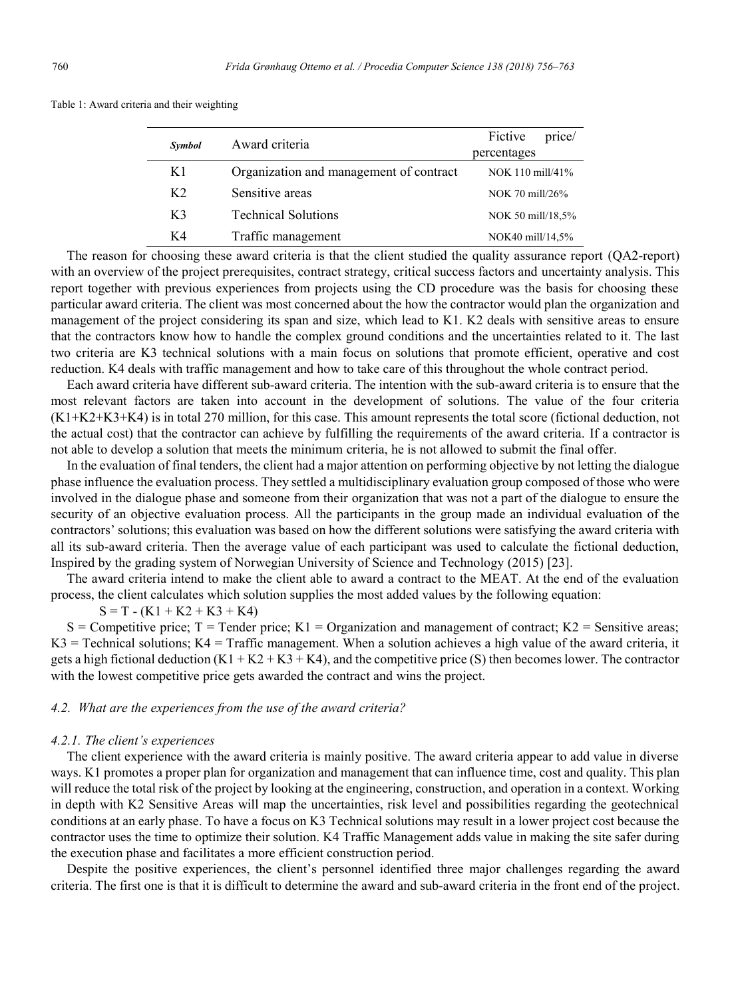| Symbol         | Award criteria                          | price/<br>Fictive<br>percentages |
|----------------|-----------------------------------------|----------------------------------|
| K1             | Organization and management of contract | NOK 110 mill/41%                 |
| K <sub>2</sub> | Sensitive areas                         | NOK 70 mill/26%                  |
| K3             | <b>Technical Solutions</b>              | NOK 50 mill/18,5%                |
| K4             | Traffic management                      | NOK40 mill/14,5%                 |

Table 1: Award criteria and their weighting

The reason for choosing these award criteria is that the client studied the quality assurance report (QA2-report) with an overview of the project prerequisites, contract strategy, critical success factors and uncertainty analysis. This report together with previous experiences from projects using the CD procedure was the basis for choosing these particular award criteria. The client was most concerned about the how the contractor would plan the organization and management of the project considering its span and size, which lead to K1. K2 deals with sensitive areas to ensure that the contractors know how to handle the complex ground conditions and the uncertainties related to it. The last two criteria are K3 technical solutions with a main focus on solutions that promote efficient, operative and cost reduction. K4 deals with traffic management and how to take care of this throughout the whole contract period.

Each award criteria have different sub-award criteria. The intention with the sub-award criteria is to ensure that the most relevant factors are taken into account in the development of solutions. The value of the four criteria (K1+K2+K3+K4) is in total 270 million, for this case. This amount represents the total score (fictional deduction, not the actual cost) that the contractor can achieve by fulfilling the requirements of the award criteria. If a contractor is not able to develop a solution that meets the minimum criteria, he is not allowed to submit the final offer.

In the evaluation of final tenders, the client had a major attention on performing objective by not letting the dialogue phase influence the evaluation process. They settled a multidisciplinary evaluation group composed of those who were involved in the dialogue phase and someone from their organization that was not a part of the dialogue to ensure the security of an objective evaluation process. All the participants in the group made an individual evaluation of the contractors' solutions; this evaluation was based on how the different solutions were satisfying the award criteria with all its sub-award criteria. Then the average value of each participant was used to calculate the fictional deduction, Inspired by the grading system of Norwegian University of Science and Technology (2015) [23].

The award criteria intend to make the client able to award a contract to the MEAT. At the end of the evaluation process, the client calculates which solution supplies the most added values by the following equation:

 $S = T - (K1 + K2 + K3 + K4)$ 

 $S =$  Competitive price; T = Tender price; K1 = Organization and management of contract; K2 = Sensitive areas;  $K3$  = Technical solutions;  $K4$  = Traffic management. When a solution achieves a high value of the award criteria, it gets a high fictional deduction  $(K1 + K2 + K3 + K4)$ , and the competitive price (S) then becomes lower. The contractor with the lowest competitive price gets awarded the contract and wins the project.

#### *4.2. What are the experiences from the use of the award criteria?*

#### *4.2.1. The client's experiences*

The client experience with the award criteria is mainly positive. The award criteria appear to add value in diverse ways. K1 promotes a proper plan for organization and management that can influence time, cost and quality. This plan will reduce the total risk of the project by looking at the engineering, construction, and operation in a context. Working in depth with K2 Sensitive Areas will map the uncertainties, risk level and possibilities regarding the geotechnical conditions at an early phase. To have a focus on K3 Technical solutions may result in a lower project cost because the contractor uses the time to optimize their solution. K4 Traffic Management adds value in making the site safer during the execution phase and facilitates a more efficient construction period.

Despite the positive experiences, the client's personnel identified three major challenges regarding the award criteria. The first one is that it is difficult to determine the award and sub-award criteria in the front end of the project.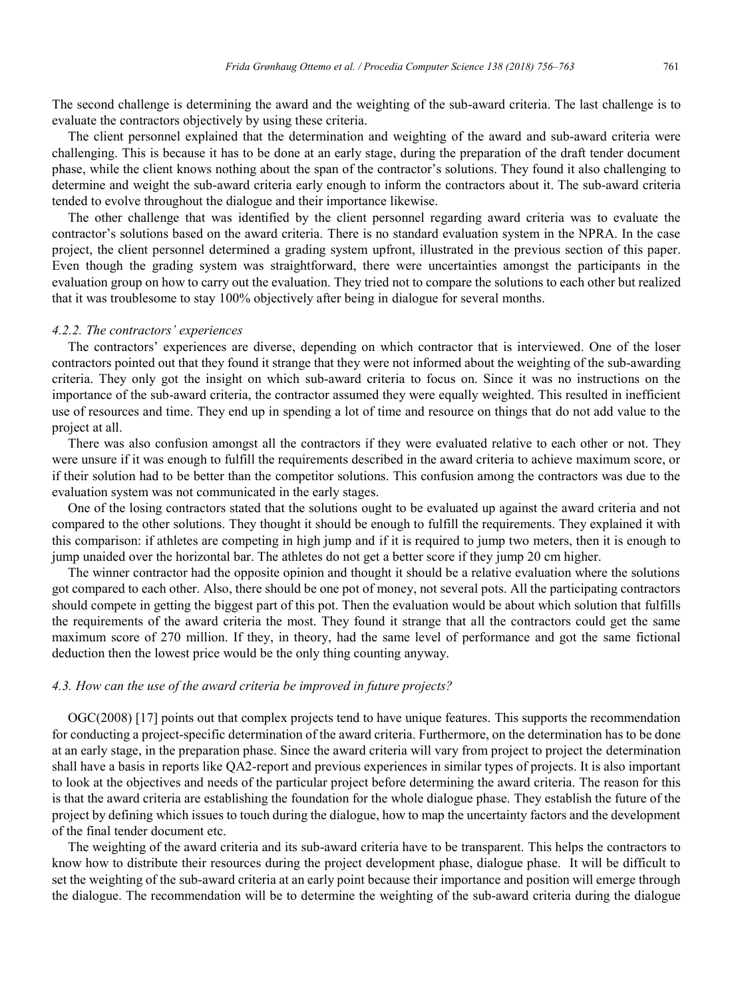The second challenge is determining the award and the weighting of the sub-award criteria. The last challenge is to evaluate the contractors objectively by using these criteria.

The client personnel explained that the determination and weighting of the award and sub-award criteria were challenging. This is because it has to be done at an early stage, during the preparation of the draft tender document phase, while the client knows nothing about the span of the contractor's solutions. They found it also challenging to determine and weight the sub-award criteria early enough to inform the contractors about it. The sub-award criteria tended to evolve throughout the dialogue and their importance likewise.

The other challenge that was identified by the client personnel regarding award criteria was to evaluate the contractor's solutions based on the award criteria. There is no standard evaluation system in the NPRA. In the case project, the client personnel determined a grading system upfront, illustrated in the previous section of this paper. Even though the grading system was straightforward, there were uncertainties amongst the participants in the evaluation group on how to carry out the evaluation. They tried not to compare the solutions to each other but realized that it was troublesome to stay 100% objectively after being in dialogue for several months.

#### *4.2.2. The contractors' experiences*

The contractors' experiences are diverse, depending on which contractor that is interviewed. One of the loser contractors pointed out that they found it strange that they were not informed about the weighting of the sub-awarding criteria. They only got the insight on which sub-award criteria to focus on. Since it was no instructions on the importance of the sub-award criteria, the contractor assumed they were equally weighted. This resulted in inefficient use of resources and time. They end up in spending a lot of time and resource on things that do not add value to the project at all.

There was also confusion amongst all the contractors if they were evaluated relative to each other or not. They were unsure if it was enough to fulfill the requirements described in the award criteria to achieve maximum score, or if their solution had to be better than the competitor solutions. This confusion among the contractors was due to the evaluation system was not communicated in the early stages.

One of the losing contractors stated that the solutions ought to be evaluated up against the award criteria and not compared to the other solutions. They thought it should be enough to fulfill the requirements. They explained it with this comparison: if athletes are competing in high jump and if it is required to jump two meters, then it is enough to jump unaided over the horizontal bar. The athletes do not get a better score if they jump 20 cm higher.

The winner contractor had the opposite opinion and thought it should be a relative evaluation where the solutions got compared to each other. Also, there should be one pot of money, not several pots. All the participating contractors should compete in getting the biggest part of this pot. Then the evaluation would be about which solution that fulfills the requirements of the award criteria the most. They found it strange that all the contractors could get the same maximum score of 270 million. If they, in theory, had the same level of performance and got the same fictional deduction then the lowest price would be the only thing counting anyway.

#### *4.3. How can the use of the award criteria be improved in future projects?*

OGC(2008) [17] points out that complex projects tend to have unique features. This supports the recommendation for conducting a project-specific determination of the award criteria. Furthermore, on the determination has to be done at an early stage, in the preparation phase. Since the award criteria will vary from project to project the determination shall have a basis in reports like QA2-report and previous experiences in similar types of projects. It is also important to look at the objectives and needs of the particular project before determining the award criteria. The reason for this is that the award criteria are establishing the foundation for the whole dialogue phase. They establish the future of the project by defining which issues to touch during the dialogue, how to map the uncertainty factors and the development of the final tender document etc.

The weighting of the award criteria and its sub-award criteria have to be transparent. This helps the contractors to know how to distribute their resources during the project development phase, dialogue phase. It will be difficult to set the weighting of the sub-award criteria at an early point because their importance and position will emerge through the dialogue. The recommendation will be to determine the weighting of the sub-award criteria during the dialogue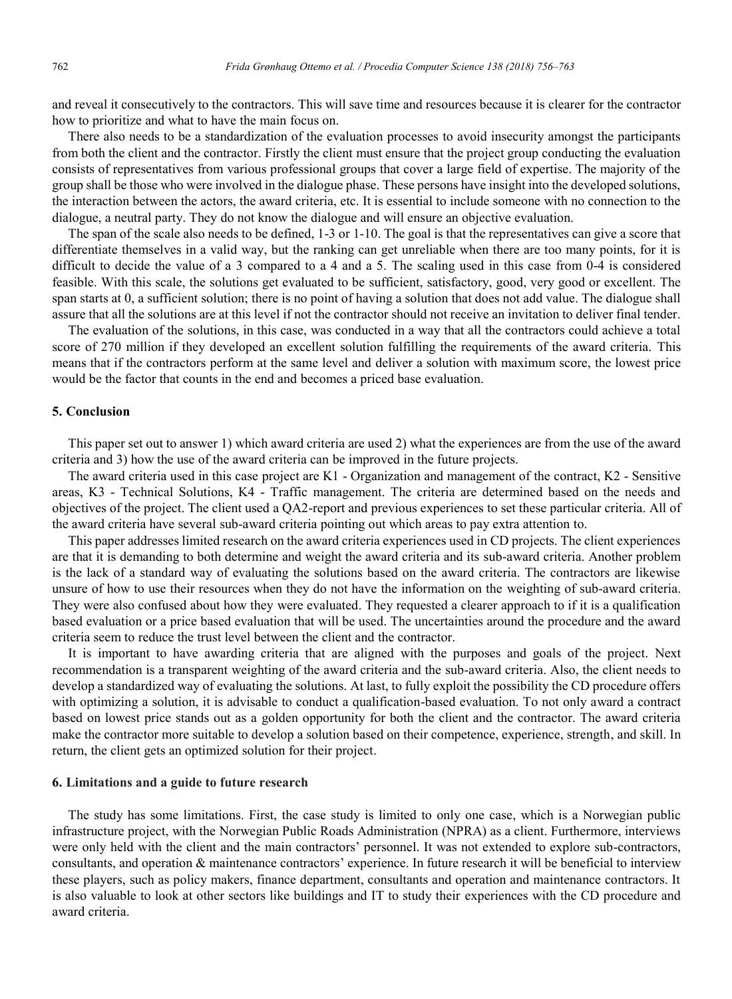and reveal it consecutively to the contractors. This will save time and resources because it is clearer for the contractor how to prioritize and what to have the main focus on.

There also needs to be a standardization of the evaluation processes to avoid insecurity amongst the participants from both the client and the contractor. Firstly the client must ensure that the project group conducting the evaluation consists of representatives from various professional groups that cover a large field of expertise. The majority of the group shall be those who were involved in the dialogue phase. These persons have insight into the developed solutions, the interaction between the actors, the award criteria, etc. It is essential to include someone with no connection to the dialogue, a neutral party. They do not know the dialogue and will ensure an objective evaluation.

The span of the scale also needs to be defined, 1-3 or 1-10. The goal is that the representatives can give a score that differentiate themselves in a valid way, but the ranking can get unreliable when there are too many points, for it is difficult to decide the value of a 3 compared to a 4 and a 5. The scaling used in this case from 0-4 is considered feasible. With this scale, the solutions get evaluated to be sufficient, satisfactory, good, very good or excellent. The span starts at 0, a sufficient solution; there is no point of having a solution that does not add value. The dialogue shall assure that all the solutions are at this level if not the contractor should not receive an invitation to deliver final tender.

The evaluation of the solutions, in this case, was conducted in a way that all the contractors could achieve a total score of 270 million if they developed an excellent solution fulfilling the requirements of the award criteria. This means that if the contractors perform at the same level and deliver a solution with maximum score, the lowest price would be the factor that counts in the end and becomes a priced base evaluation.

### **5. Conclusion**

This paper set out to answer 1) which award criteria are used 2) what the experiences are from the use of the award criteria and 3) how the use of the award criteria can be improved in the future projects.

The award criteria used in this case project are K1 - Organization and management of the contract, K2 - Sensitive areas, K3 - Technical Solutions, K4 - Traffic management. The criteria are determined based on the needs and objectives of the project. The client used a QA2-report and previous experiences to set these particular criteria. All of the award criteria have several sub-award criteria pointing out which areas to pay extra attention to.

This paper addresses limited research on the award criteria experiences used in CD projects. The client experiences are that it is demanding to both determine and weight the award criteria and its sub-award criteria. Another problem is the lack of a standard way of evaluating the solutions based on the award criteria. The contractors are likewise unsure of how to use their resources when they do not have the information on the weighting of sub-award criteria. They were also confused about how they were evaluated. They requested a clearer approach to if it is a qualification based evaluation or a price based evaluation that will be used. The uncertainties around the procedure and the award criteria seem to reduce the trust level between the client and the contractor.

It is important to have awarding criteria that are aligned with the purposes and goals of the project. Next recommendation is a transparent weighting of the award criteria and the sub-award criteria. Also, the client needs to develop a standardized way of evaluating the solutions. At last, to fully exploit the possibility the CD procedure offers with optimizing a solution, it is advisable to conduct a qualification-based evaluation. To not only award a contract based on lowest price stands out as a golden opportunity for both the client and the contractor. The award criteria make the contractor more suitable to develop a solution based on their competence, experience, strength, and skill. In return, the client gets an optimized solution for their project.

#### **6. Limitations and a guide to future research**

The study has some limitations. First, the case study is limited to only one case, which is a Norwegian public infrastructure project, with the Norwegian Public Roads Administration (NPRA) as a client. Furthermore, interviews were only held with the client and the main contractors' personnel. It was not extended to explore sub-contractors, consultants, and operation & maintenance contractors' experience. In future research it will be beneficial to interview these players, such as policy makers, finance department, consultants and operation and maintenance contractors. It is also valuable to look at other sectors like buildings and IT to study their experiences with the CD procedure and award criteria.